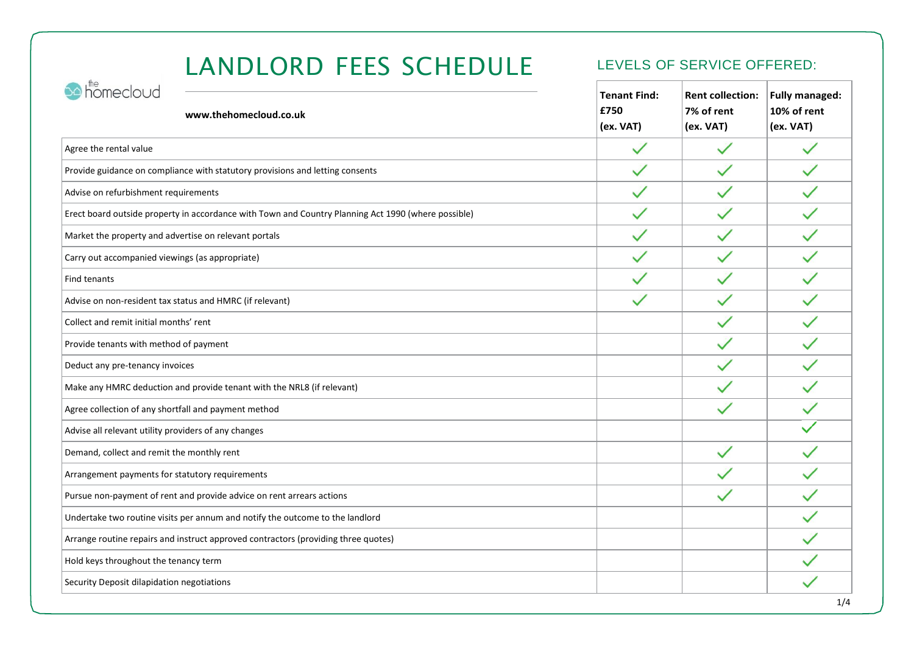# LANDLORD FEES SCHEDULE LEVELS OF SERVICE OFFERED:

| homecloud<br>www.thehomecloud.co.uk                                                                 | <b>Tenant Find:</b><br>£750<br>(ex. VAT) | <b>Rent collection:</b><br>7% of rent<br>(ex. VAT) | <b>Fully managed:</b><br>10% of rent<br>(ex. VAT) |
|-----------------------------------------------------------------------------------------------------|------------------------------------------|----------------------------------------------------|---------------------------------------------------|
| Agree the rental value                                                                              |                                          | $\checkmark$                                       | $\checkmark$                                      |
| Provide guidance on compliance with statutory provisions and letting consents                       | $\checkmark$                             | $\checkmark$                                       | $\checkmark$                                      |
| Advise on refurbishment requirements                                                                | $\checkmark$                             | $\checkmark$                                       | $\checkmark$                                      |
| Erect board outside property in accordance with Town and Country Planning Act 1990 (where possible) | $\checkmark$                             | $\checkmark$                                       | $\checkmark$                                      |
| Market the property and advertise on relevant portals                                               | $\checkmark$                             | $\checkmark$                                       | $\checkmark$                                      |
| Carry out accompanied viewings (as appropriate)                                                     | $\checkmark$                             | $\checkmark$                                       | $\checkmark$                                      |
| <b>Find tenants</b>                                                                                 | $\checkmark$                             | $\checkmark$                                       | $\checkmark$                                      |
| Advise on non-resident tax status and HMRC (if relevant)                                            |                                          | $\checkmark$                                       |                                                   |
| Collect and remit initial months' rent                                                              |                                          | $\checkmark$                                       |                                                   |
| Provide tenants with method of payment                                                              |                                          |                                                    |                                                   |
| Deduct any pre-tenancy invoices                                                                     |                                          | $\checkmark$                                       | $\checkmark$                                      |
| Make any HMRC deduction and provide tenant with the NRL8 (if relevant)                              |                                          | $\checkmark$                                       | $\checkmark$                                      |
| Agree collection of any shortfall and payment method                                                |                                          | $\checkmark$                                       | $\checkmark$                                      |
| Advise all relevant utility providers of any changes                                                |                                          |                                                    |                                                   |
| Demand, collect and remit the monthly rent                                                          |                                          | $\checkmark$                                       |                                                   |
| Arrangement payments for statutory requirements                                                     |                                          | $\checkmark$                                       | $\checkmark$                                      |
| Pursue non-payment of rent and provide advice on rent arrears actions                               |                                          |                                                    |                                                   |
| Undertake two routine visits per annum and notify the outcome to the landlord                       |                                          |                                                    |                                                   |
| Arrange routine repairs and instruct approved contractors (providing three quotes)                  |                                          |                                                    |                                                   |
| Hold keys throughout the tenancy term                                                               |                                          |                                                    |                                                   |
| Security Deposit dilapidation negotiations                                                          |                                          |                                                    |                                                   |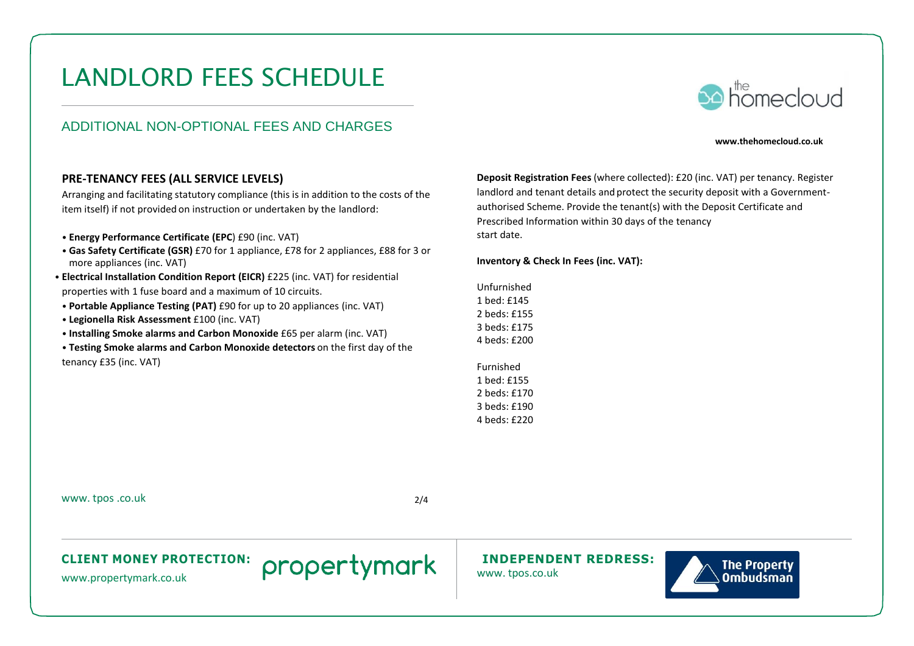# LANDLORD FEES SCHEDULE

### ADDITIONAL NON-OPTIONAL FEES AND CHARGES

# **So homecloud**

#### **www.thehomecloud.co.uk**

#### **PRE-TENANCY FEES (ALL SERVICE LEVELS)**

Arranging and facilitating statutory compliance (this is in addition to the costs of the item itself) if not provided on instruction or undertaken by the landlord:

- **Energy Performance Certificate (EPC**) £90 (inc. VAT)
- **Gas Safety Certificate (GSR)** £70 for 1 appliance, £78 for 2 appliances, £88 for 3 or more appliances (inc. VAT)
- **Electrical Installation Condition Report (EICR)** £225 (inc. VAT) for residential properties with 1 fuse board and a maximum of 10 circuits.
- **Portable Appliance Testing (PAT)** £90 for up to 20 appliances (inc. VAT)
- **Legionella Risk Assessment** £100 (inc. VAT)
- **Installing Smoke alarms and Carbon Monoxide** £65 per alarm (inc. VAT)
- **Testing Smoke alarms and Carbon Monoxide detectors** on the first day of the tenancy £35 (inc. VAT)

**Deposit Registration Fees** (where collected): £20 (inc. VAT) per tenancy. Register landlord and tenant details and protect the security deposit with a Governmentauthorised Scheme. Provide the tenant(s) with the Deposit Certificate and Prescribed Information within 30 days of the tenancy start date.

**Inventory & Check In Fees (inc. VAT):** 

Unfurnished 1 bed: £145 2 beds: £155 3 beds: £175 4 beds: £200

Furnished 1 bed: £155 2 beds: £170 3 beds: £190 4 beds: £220

[www.](http://www/) tpos .co.uk 2/4

#### **CLIENT MONEY PROTECTION: INDEPENDENT REDRESS:**



[www.propertymark.co.uk](http://www.propertymark.co.uk/) **PIOPEI CYTTICHIN** [www.](http://www/)tpos.co.uk